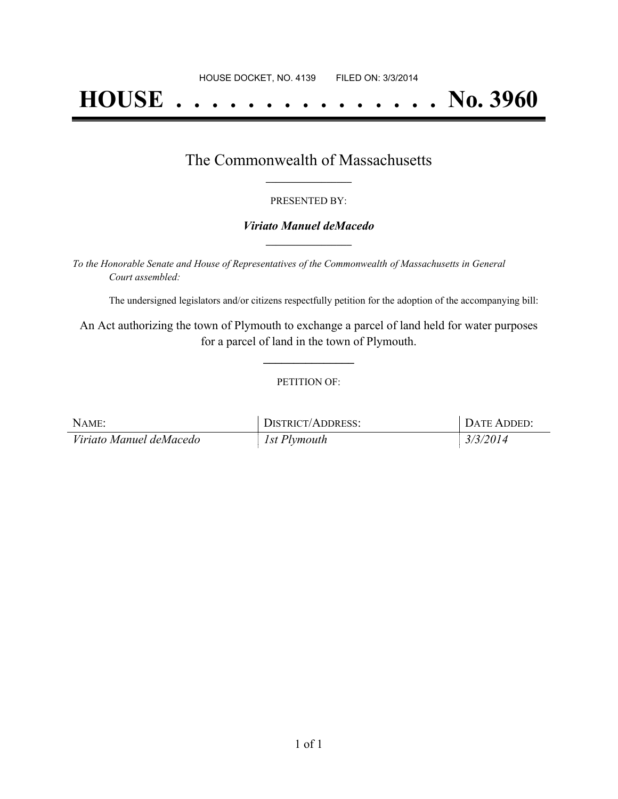# **HOUSE . . . . . . . . . . . . . . . No. 3960**

### The Commonwealth of Massachusetts **\_\_\_\_\_\_\_\_\_\_\_\_\_\_\_\_\_**

#### PRESENTED BY:

#### *Viriato Manuel deMacedo* **\_\_\_\_\_\_\_\_\_\_\_\_\_\_\_\_\_**

*To the Honorable Senate and House of Representatives of the Commonwealth of Massachusetts in General Court assembled:*

The undersigned legislators and/or citizens respectfully petition for the adoption of the accompanying bill:

An Act authorizing the town of Plymouth to exchange a parcel of land held for water purposes for a parcel of land in the town of Plymouth.

**\_\_\_\_\_\_\_\_\_\_\_\_\_\_\_**

#### PETITION OF:

| NAME:                   | DISTRICT/ADDRESS: | DATE ADDED: |
|-------------------------|-------------------|-------------|
| Viriato Manuel deMacedo | 1st Plymouth      | 3/3/2014    |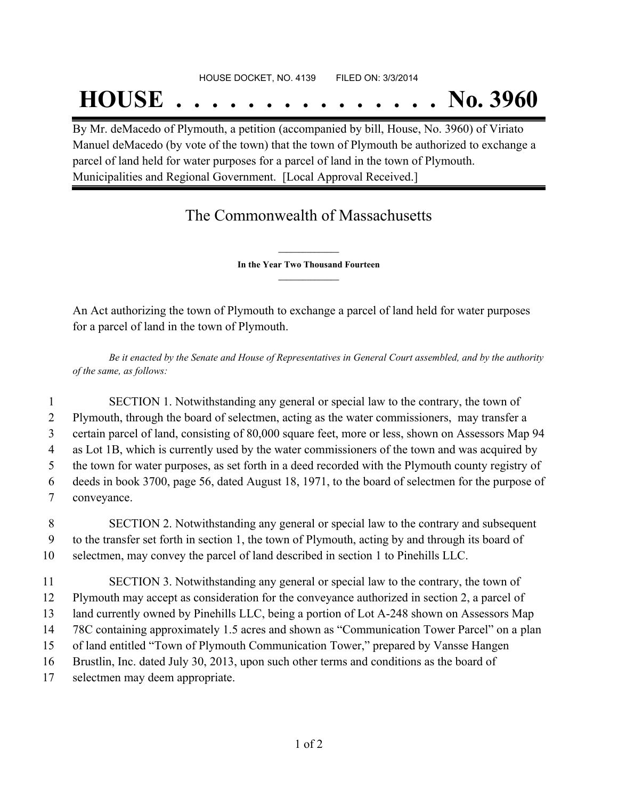## **HOUSE . . . . . . . . . . . . . . . No. 3960**

By Mr. deMacedo of Plymouth, a petition (accompanied by bill, House, No. 3960) of Viriato Manuel deMacedo (by vote of the town) that the town of Plymouth be authorized to exchange a parcel of land held for water purposes for a parcel of land in the town of Plymouth. Municipalities and Regional Government. [Local Approval Received.]

### The Commonwealth of Massachusetts

**\_\_\_\_\_\_\_\_\_\_\_\_\_\_\_ In the Year Two Thousand Fourteen \_\_\_\_\_\_\_\_\_\_\_\_\_\_\_**

An Act authorizing the town of Plymouth to exchange a parcel of land held for water purposes for a parcel of land in the town of Plymouth.

Be it enacted by the Senate and House of Representatives in General Court assembled, and by the authority *of the same, as follows:*

 SECTION 1. Notwithstanding any general or special law to the contrary, the town of Plymouth, through the board of selectmen, acting as the water commissioners, may transfer a certain parcel of land, consisting of 80,000 square feet, more or less, shown on Assessors Map 94 as Lot 1B, which is currently used by the water commissioners of the town and was acquired by the town for water purposes, as set forth in a deed recorded with the Plymouth county registry of deeds in book 3700, page 56, dated August 18, 1971, to the board of selectmen for the purpose of conveyance.

8 SECTION 2. Notwithstanding any general or special law to the contrary and subsequent 9 to the transfer set forth in section 1, the town of Plymouth, acting by and through its board of 10 selectmen, may convey the parcel of land described in section 1 to Pinehills LLC.

 SECTION 3. Notwithstanding any general or special law to the contrary, the town of Plymouth may accept as consideration for the conveyance authorized in section 2, a parcel of land currently owned by Pinehills LLC, being a portion of Lot A-248 shown on Assessors Map 78C containing approximately 1.5 acres and shown as "Communication Tower Parcel" on a plan of land entitled "Town of Plymouth Communication Tower," prepared by Vansse Hangen Brustlin, Inc. dated July 30, 2013, upon such other terms and conditions as the board of selectmen may deem appropriate.